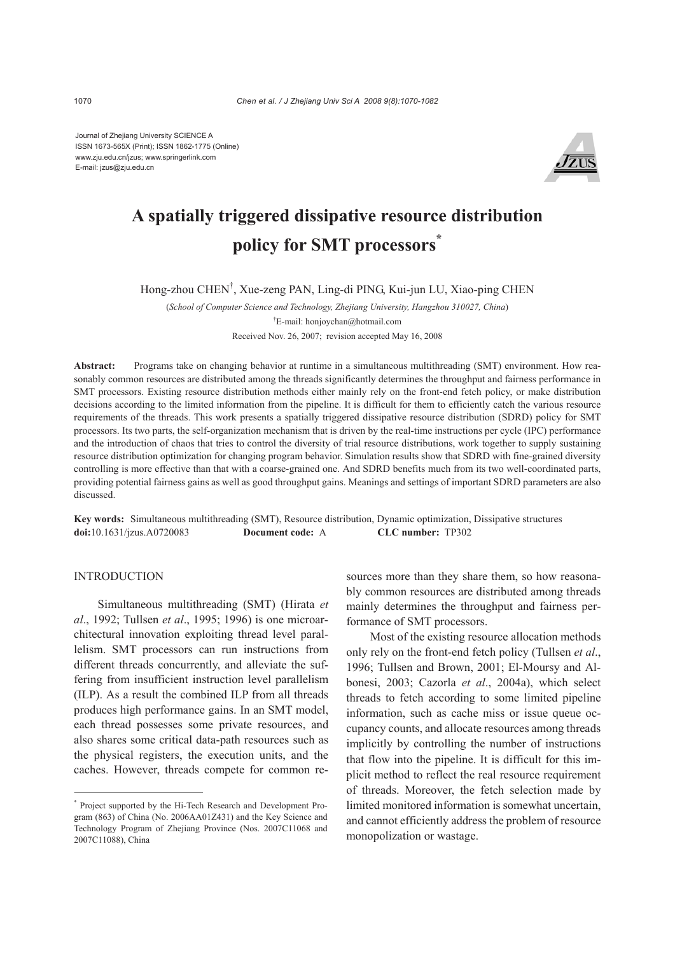Journal of Zhejiang University SCIENCE A ISSN 1673-565X (Print); ISSN 1862-1775 (Online) www.zju.edu.cn/jzus; www.springerlink.com E-mail: jzus@zju.edu.cn



# **A spatially triggered dissipative resource distribution policy for SMT processors\***

Hong-zhou CHEN† , Xue-zeng PAN, Ling-di PING, Kui-jun LU, Xiao-ping CHEN

(*School of Computer Science and Technology, Zhejiang University, Hangzhou 310027, China*) † E-mail: honjoychan@hotmail.com Received Nov. 26, 2007; revision accepted May 16, 2008

**Abstract:** Programs take on changing behavior at runtime in a simultaneous multithreading (SMT) environment. How reasonably common resources are distributed among the threads significantly determines the throughput and fairness performance in SMT processors. Existing resource distribution methods either mainly rely on the front-end fetch policy, or make distribution decisions according to the limited information from the pipeline. It is difficult for them to efficiently catch the various resource requirements of the threads. This work presents a spatially triggered dissipative resource distribution (SDRD) policy for SMT processors. Its two parts, the self-organization mechanism that is driven by the real-time instructions per cycle (IPC) performance and the introduction of chaos that tries to control the diversity of trial resource distributions, work together to supply sustaining resource distribution optimization for changing program behavior. Simulation results show that SDRD with fine-grained diversity controlling is more effective than that with a coarse-grained one. And SDRD benefits much from its two well-coordinated parts, providing potential fairness gains as well as good throughput gains. Meanings and settings of important SDRD parameters are also discussed.

**Key words:** Simultaneous multithreading (SMT), Resource distribution, Dynamic optimization, Dissipative structures **doi:**10.1631/jzus.A0720083 **Document code:** A **CLC number:** TP302

## INTRODUCTION

Simultaneous multithreading (SMT) (Hirata *et al*., 1992; Tullsen *et al*., 1995; 1996) is one microarchitectural innovation exploiting thread level parallelism. SMT processors can run instructions from different threads concurrently, and alleviate the suffering from insufficient instruction level parallelism (ILP). As a result the combined ILP from all threads produces high performance gains. In an SMT model, each thread possesses some private resources, and also shares some critical data-path resources such as the physical registers, the execution units, and the caches. However, threads compete for common resources more than they share them, so how reasonably common resources are distributed among threads mainly determines the throughput and fairness performance of SMT processors.

Most of the existing resource allocation methods only rely on the front-end fetch policy (Tullsen *et al*., 1996; Tullsen and Brown, 2001; El-Moursy and Albonesi, 2003; Cazorla *et al*., 2004a), which select threads to fetch according to some limited pipeline information, such as cache miss or issue queue occupancy counts, and allocate resources among threads implicitly by controlling the number of instructions that flow into the pipeline. It is difficult for this implicit method to reflect the real resource requirement of threads. Moreover, the fetch selection made by limited monitored information is somewhat uncertain, and cannot efficiently address the problem of resource monopolization or wastage.

<sup>\*</sup> Project supported by the Hi-Tech Research and Development Program (863) of China (No. 2006AA01Z431) and the Key Science and Technology Program of Zhejiang Province (Nos. 2007C11068 and 2007C11088), China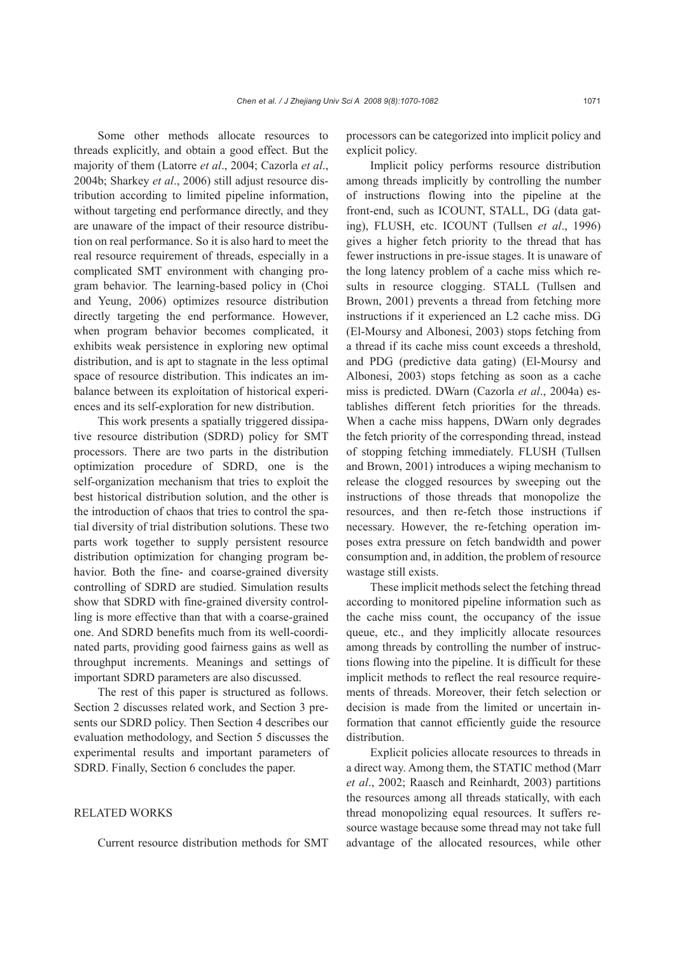Some other methods allocate resources to threads explicitly, and obtain a good effect. But the majority of them (Latorre *et al*., 2004; Cazorla *et al*., 2004b; Sharkey *et al*., 2006) still adjust resource distribution according to limited pipeline information, without targeting end performance directly, and they are unaware of the impact of their resource distribution on real performance. So it is also hard to meet the real resource requirement of threads, especially in a complicated SMT environment with changing program behavior. The learning-based policy in (Choi and Yeung, 2006) optimizes resource distribution directly targeting the end performance. However, when program behavior becomes complicated, it exhibits weak persistence in exploring new optimal distribution, and is apt to stagnate in the less optimal space of resource distribution. This indicates an imbalance between its exploitation of historical experiences and its self-exploration for new distribution.

This work presents a spatially triggered dissipative resource distribution (SDRD) policy for SMT processors. There are two parts in the distribution optimization procedure of SDRD, one is the self-organization mechanism that tries to exploit the best historical distribution solution, and the other is the introduction of chaos that tries to control the spatial diversity of trial distribution solutions. These two parts work together to supply persistent resource distribution optimization for changing program behavior. Both the fine- and coarse-grained diversity controlling of SDRD are studied. Simulation results show that SDRD with fine-grained diversity controlling is more effective than that with a coarse-grained one. And SDRD benefits much from its well-coordinated parts, providing good fairness gains as well as throughput increments. Meanings and settings of important SDRD parameters are also discussed.

The rest of this paper is structured as follows. Section 2 discusses related work, and Section 3 presents our SDRD policy. Then Section 4 describes our evaluation methodology, and Section 5 discusses the experimental results and important parameters of SDRD. Finally, Section 6 concludes the paper.

## RELATED WORKS

Current resource distribution methods for SMT

processors can be categorized into implicit policy and explicit policy.

Implicit policy performs resource distribution among threads implicitly by controlling the number of instructions flowing into the pipeline at the front-end, such as ICOUNT, STALL, DG (data gating), FLUSH, etc. ICOUNT (Tullsen *et al*., 1996) gives a higher fetch priority to the thread that has fewer instructions in pre-issue stages. It is unaware of the long latency problem of a cache miss which results in resource clogging. STALL (Tullsen and Brown, 2001) prevents a thread from fetching more instructions if it experienced an L2 cache miss. DG (El-Moursy and Albonesi, 2003) stops fetching from a thread if its cache miss count exceeds a threshold, and PDG (predictive data gating) (El-Moursy and Albonesi, 2003) stops fetching as soon as a cache miss is predicted. DWarn (Cazorla *et al*., 2004a) establishes different fetch priorities for the threads. When a cache miss happens, DWarn only degrades the fetch priority of the corresponding thread, instead of stopping fetching immediately. FLUSH (Tullsen and Brown, 2001) introduces a wiping mechanism to release the clogged resources by sweeping out the instructions of those threads that monopolize the resources, and then re-fetch those instructions if necessary. However, the re-fetching operation imposes extra pressure on fetch bandwidth and power consumption and, in addition, the problem of resource wastage still exists.

These implicit methods select the fetching thread according to monitored pipeline information such as the cache miss count, the occupancy of the issue queue, etc., and they implicitly allocate resources among threads by controlling the number of instructions flowing into the pipeline. It is difficult for these implicit methods to reflect the real resource requirements of threads. Moreover, their fetch selection or decision is made from the limited or uncertain information that cannot efficiently guide the resource distribution.

Explicit policies allocate resources to threads in a direct way. Among them, the STATIC method (Marr *et al*., 2002; Raasch and Reinhardt, 2003) partitions the resources among all threads statically, with each thread monopolizing equal resources. It suffers resource wastage because some thread may not take full advantage of the allocated resources, while other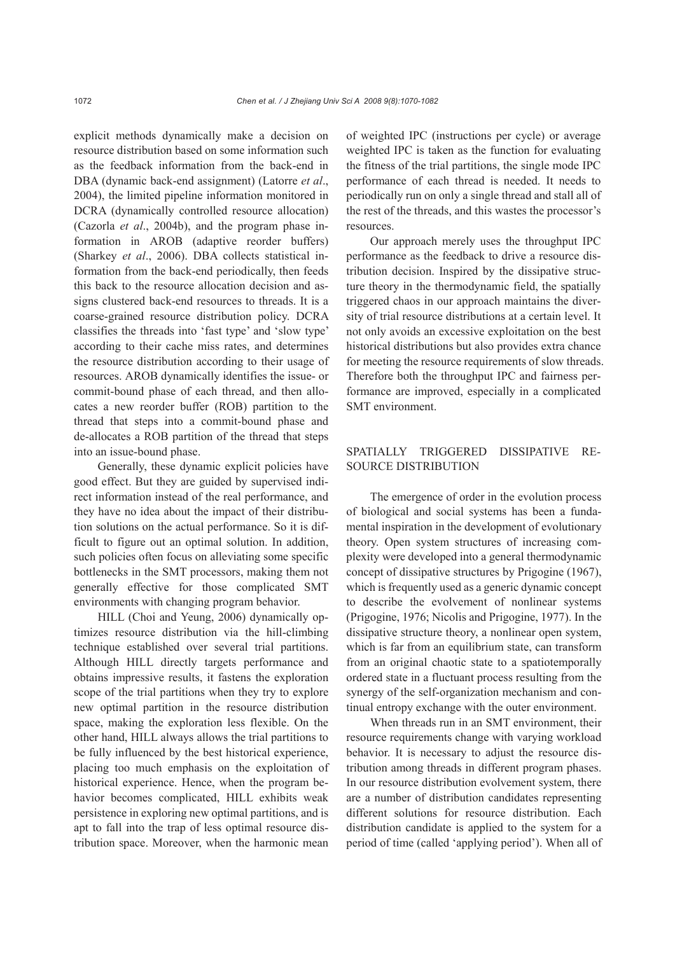explicit methods dynamically make a decision on resource distribution based on some information such as the feedback information from the back-end in DBA (dynamic back-end assignment) (Latorre *et al*., 2004), the limited pipeline information monitored in DCRA (dynamically controlled resource allocation) (Cazorla *et al*., 2004b), and the program phase information in AROB (adaptive reorder buffers) (Sharkey *et al*., 2006). DBA collects statistical information from the back-end periodically, then feeds this back to the resource allocation decision and assigns clustered back-end resources to threads. It is a coarse-grained resource distribution policy. DCRA classifies the threads into 'fast type' and 'slow type' according to their cache miss rates, and determines the resource distribution according to their usage of resources. AROB dynamically identifies the issue- or commit-bound phase of each thread, and then allocates a new reorder buffer (ROB) partition to the thread that steps into a commit-bound phase and de-allocates a ROB partition of the thread that steps into an issue-bound phase.

Generally, these dynamic explicit policies have good effect. But they are guided by supervised indirect information instead of the real performance, and they have no idea about the impact of their distribution solutions on the actual performance. So it is difficult to figure out an optimal solution. In addition, such policies often focus on alleviating some specific bottlenecks in the SMT processors, making them not generally effective for those complicated SMT environments with changing program behavior.

HILL (Choi and Yeung, 2006) dynamically optimizes resource distribution via the hill-climbing technique established over several trial partitions. Although HILL directly targets performance and obtains impressive results, it fastens the exploration scope of the trial partitions when they try to explore new optimal partition in the resource distribution space, making the exploration less flexible. On the other hand, HILL always allows the trial partitions to be fully influenced by the best historical experience, placing too much emphasis on the exploitation of historical experience. Hence, when the program behavior becomes complicated, HILL exhibits weak persistence in exploring new optimal partitions, and is apt to fall into the trap of less optimal resource distribution space. Moreover, when the harmonic mean of weighted IPC (instructions per cycle) or average weighted IPC is taken as the function for evaluating the fitness of the trial partitions, the single mode IPC performance of each thread is needed. It needs to periodically run on only a single thread and stall all of the rest of the threads, and this wastes the processor's resources.

Our approach merely uses the throughput IPC performance as the feedback to drive a resource distribution decision. Inspired by the dissipative structure theory in the thermodynamic field, the spatially triggered chaos in our approach maintains the diversity of trial resource distributions at a certain level. It not only avoids an excessive exploitation on the best historical distributions but also provides extra chance for meeting the resource requirements of slow threads. Therefore both the throughput IPC and fairness performance are improved, especially in a complicated SMT environment.

# SPATIALLY TRIGGERED DISSIPATIVE RE-SOURCE DISTRIBUTION

The emergence of order in the evolution process of biological and social systems has been a fundamental inspiration in the development of evolutionary theory. Open system structures of increasing complexity were developed into a general thermodynamic concept of dissipative structures by Prigogine (1967), which is frequently used as a generic dynamic concept to describe the evolvement of nonlinear systems (Prigogine, 1976; Nicolis and Prigogine, 1977). In the dissipative structure theory, a nonlinear open system, which is far from an equilibrium state, can transform from an original chaotic state to a spatiotemporally ordered state in a fluctuant process resulting from the synergy of the self-organization mechanism and continual entropy exchange with the outer environment.

When threads run in an SMT environment, their resource requirements change with varying workload behavior. It is necessary to adjust the resource distribution among threads in different program phases. In our resource distribution evolvement system, there are a number of distribution candidates representing different solutions for resource distribution. Each distribution candidate is applied to the system for a period of time (called 'applying period'). When all of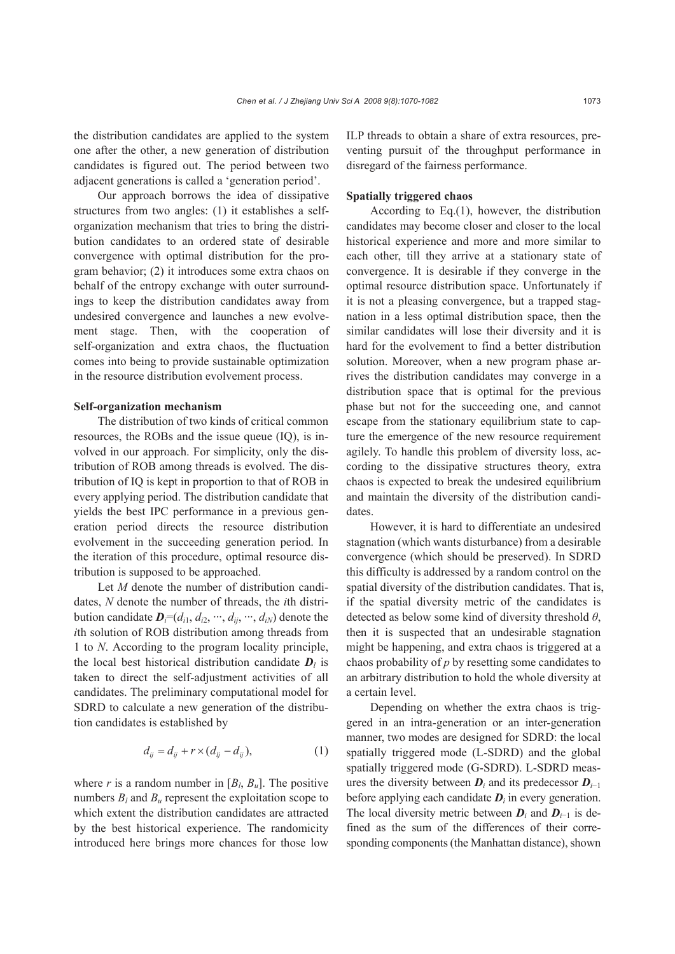the distribution candidates are applied to the system one after the other, a new generation of distribution candidates is figured out. The period between two adjacent generations is called a 'generation period'.

Our approach borrows the idea of dissipative structures from two angles: (1) it establishes a selforganization mechanism that tries to bring the distribution candidates to an ordered state of desirable convergence with optimal distribution for the program behavior; (2) it introduces some extra chaos on behalf of the entropy exchange with outer surroundings to keep the distribution candidates away from undesired convergence and launches a new evolvement stage. Then, with the cooperation of self-organization and extra chaos, the fluctuation comes into being to provide sustainable optimization in the resource distribution evolvement process.

#### **Self-organization mechanism**

The distribution of two kinds of critical common resources, the ROBs and the issue queue (IQ), is involved in our approach. For simplicity, only the distribution of ROB among threads is evolved. The distribution of IQ is kept in proportion to that of ROB in every applying period. The distribution candidate that yields the best IPC performance in a previous generation period directs the resource distribution evolvement in the succeeding generation period. In the iteration of this procedure, optimal resource distribution is supposed to be approached.

Let *M* denote the number of distribution candidates, *N* denote the number of threads, the *i*th distribution candidate  $D_i = (d_{i1}, d_{i2}, \dots, d_{ii}, \dots, d_{iN})$  denote the *i*th solution of ROB distribution among threads from 1 to *N*. According to the program locality principle, the local best historical distribution candidate  $D_l$  is taken to direct the self-adjustment activities of all candidates. The preliminary computational model for SDRD to calculate a new generation of the distribution candidates is established by

$$
d_{ij} = d_{ij} + r \times (d_{lj} - d_{ij}), \qquad (1)
$$

where  $r$  is a random number in  $[B_l, B_u]$ . The positive numbers  $B_l$  and  $B_u$  represent the exploitation scope to which extent the distribution candidates are attracted by the best historical experience. The randomicity introduced here brings more chances for those low ILP threads to obtain a share of extra resources, preventing pursuit of the throughput performance in disregard of the fairness performance.

### **Spatially triggered chaos**

According to Eq.(1), however, the distribution candidates may become closer and closer to the local historical experience and more and more similar to each other, till they arrive at a stationary state of convergence. It is desirable if they converge in the optimal resource distribution space. Unfortunately if it is not a pleasing convergence, but a trapped stagnation in a less optimal distribution space, then the similar candidates will lose their diversity and it is hard for the evolvement to find a better distribution solution. Moreover, when a new program phase arrives the distribution candidates may converge in a distribution space that is optimal for the previous phase but not for the succeeding one, and cannot escape from the stationary equilibrium state to capture the emergence of the new resource requirement agilely. To handle this problem of diversity loss, according to the dissipative structures theory, extra chaos is expected to break the undesired equilibrium and maintain the diversity of the distribution candidates.

However, it is hard to differentiate an undesired stagnation (which wants disturbance) from a desirable convergence (which should be preserved). In SDRD this difficulty is addressed by a random control on the spatial diversity of the distribution candidates. That is, if the spatial diversity metric of the candidates is detected as below some kind of diversity threshold *θ*, then it is suspected that an undesirable stagnation might be happening, and extra chaos is triggered at a chaos probability of *p* by resetting some candidates to an arbitrary distribution to hold the whole diversity at a certain level.

Depending on whether the extra chaos is triggered in an intra-generation or an inter-generation manner, two modes are designed for SDRD: the local spatially triggered mode (L-SDRD) and the global spatially triggered mode (G-SDRD). L-SDRD measures the diversity between  $D_i$  and its predecessor  $D_{i-1}$ before applying each candidate  $D_i$  in every generation. The local diversity metric between  $D_i$  and  $D_{i-1}$  is defined as the sum of the differences of their corresponding components (the Manhattan distance), shown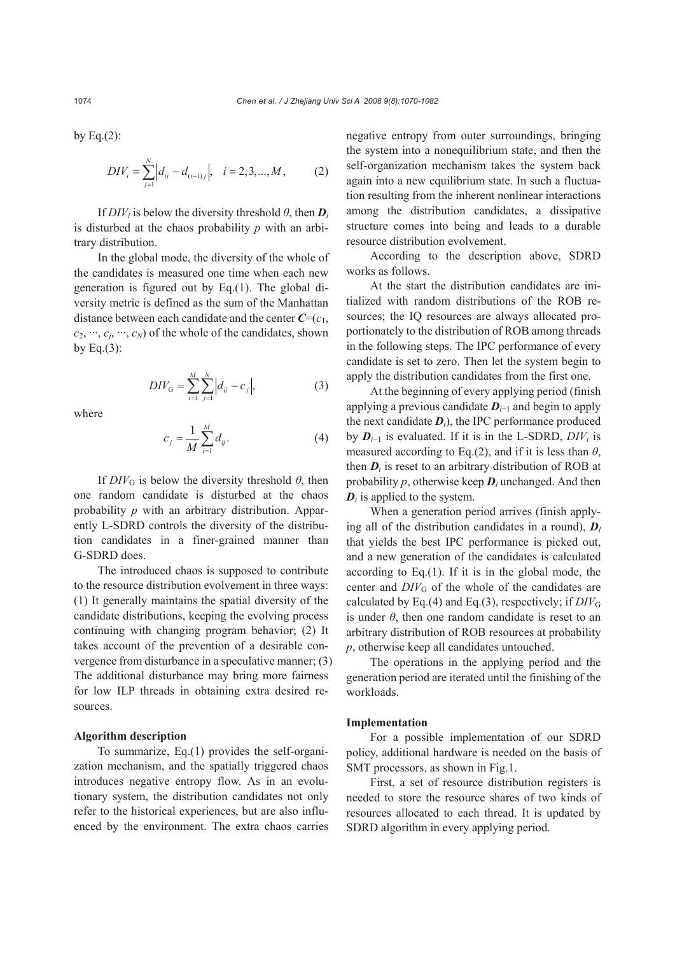by Eq.(2):

$$
DIV_i = \sum_{j=1}^{N} \left| d_{ij} - d_{(i-1)j} \right|, \quad i = 2, 3, \dots, M,
$$
 (2)

If  $DIV_i$  is below the diversity threshold  $\theta$ , then  $D_i$ is disturbed at the chaos probability *p* with an arbitrary distribution.

In the global mode, the diversity of the whole of the candidates is measured one time when each new generation is figured out by Eq.(1). The global diversity metric is defined as the sum of the Manhattan distance between each candidate and the center  $C=(c_1, c_2)$  $c_2, \dots, c_i, \dots, c_N$  of the whole of the candidates, shown by Eq. $(3)$ :

$$
DIV_{G} = \sum_{i=1}^{M} \sum_{j=1}^{N} \left| d_{ij} - c_{j} \right|, \tag{3}
$$

where

$$
c_j = \frac{1}{M} \sum_{i=1}^{M} d_{ij}.
$$
 (4)

If  $DIV_G$  is below the diversity threshold  $\theta$ , then one random candidate is disturbed at the chaos probability *p* with an arbitrary distribution. Apparently L-SDRD controls the diversity of the distribution candidates in a finer-grained manner than G-SDRD does.

The introduced chaos is supposed to contribute to the resource distribution evolvement in three ways: (1) It generally maintains the spatial diversity of the candidate distributions, keeping the evolving process continuing with changing program behavior; (2) It takes account of the prevention of a desirable convergence from disturbance in a speculative manner; (3) The additional disturbance may bring more fairness for low ILP threads in obtaining extra desired resources.

#### **Algorithm description**

To summarize, Eq.(1) provides the self-organization mechanism, and the spatially triggered chaos introduces negative entropy flow. As in an evolutionary system, the distribution candidates not only refer to the historical experiences, but are also influenced by the environment. The extra chaos carries negative entropy from outer surroundings, bringing the system into a nonequilibrium state, and then the self-organization mechanism takes the system back again into a new equilibrium state. In such a fluctuation resulting from the inherent nonlinear interactions among the distribution candidates, a dissipative structure comes into being and leads to a durable resource distribution evolvement.

According to the description above, SDRD works as follows.

At the start the distribution candidates are initialized with random distributions of the ROB resources; the IQ resources are always allocated proportionately to the distribution of ROB among threads in the following steps. The IPC performance of every candidate is set to zero. Then let the system begin to apply the distribution candidates from the first one.

At the beginning of every applying period (finish applying a previous candidate *Di*−1 and begin to apply the next candidate  $D_i$ , the IPC performance produced by  $D_{i-1}$  is evaluated. If it is in the L-SDRD, *DIV<sub>i</sub>* is measured according to Eq.(2), and if it is less than  $\theta$ , then  $\boldsymbol{D}_i$  is reset to an arbitrary distribution of ROB at probability  $p$ , otherwise keep  $D_i$  unchanged. And then  $\mathbf{D}_i$  is applied to the system.

When a generation period arrives (finish applying all of the distribution candidates in a round),  $D_l$ that yields the best IPC performance is picked out, and a new generation of the candidates is calculated according to  $Eq.(1)$ . If it is in the global mode, the center and  $DIV<sub>G</sub>$  of the whole of the candidates are calculated by Eq.(4) and Eq.(3), respectively; if  $DIV_G$ is under  $\theta$ , then one random candidate is reset to an arbitrary distribution of ROB resources at probability *p*, otherwise keep all candidates untouched.

The operations in the applying period and the generation period are iterated until the finishing of the workloads.

#### **Implementation**

For a possible implementation of our SDRD policy, additional hardware is needed on the basis of SMT processors, as shown in Fig.1.

First, a set of resource distribution registers is needed to store the resource shares of two kinds of resources allocated to each thread. It is updated by SDRD algorithm in every applying period.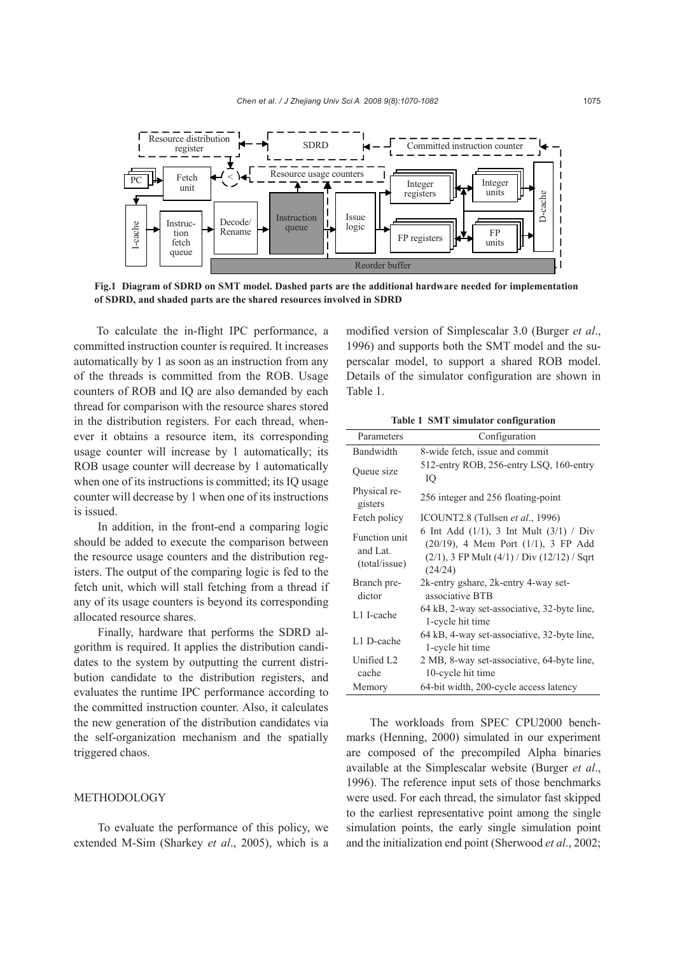

**Fig.1 Diagram of SDRD on SMT model. Dashed parts are the additional hardware needed for implementation of SDRD, and shaded parts are the shared resources involved in SDRD**

To calculate the in-flight IPC performance, a committed instruction counter is required. It increases automatically by 1 as soon as an instruction from any of the threads is committed from the ROB. Usage counters of ROB and IQ are also demanded by each thread for comparison with the resource shares stored in the distribution registers. For each thread, whenever it obtains a resource item, its corresponding usage counter will increase by 1 automatically; its ROB usage counter will decrease by 1 automatically when one of its instructions is committed; its IQ usage counter will decrease by 1 when one of its instructions is issued.

In addition, in the front-end a comparing logic should be added to execute the comparison between the resource usage counters and the distribution registers. The output of the comparing logic is fed to the fetch unit, which will stall fetching from a thread if any of its usage counters is beyond its corresponding allocated resource shares.

Finally, hardware that performs the SDRD algorithm is required. It applies the distribution candidates to the system by outputting the current distribution candidate to the distribution registers, and evaluates the runtime IPC performance according to the committed instruction counter. Also, it calculates the new generation of the distribution candidates via the self-organization mechanism and the spatially triggered chaos.

## METHODOLOGY

To evaluate the performance of this policy, we extended M-Sim (Sharkey *et al*., 2005), which is a modified version of Simplescalar 3.0 (Burger *et al*., 1996) and supports both the SMT model and the superscalar model, to support a shared ROB model. Details of the simulator configuration are shown in Table 1.

**Table 1 SMT simulator configuration** 

| Parameters                                 | Configuration                                                                                                                                              |
|--------------------------------------------|------------------------------------------------------------------------------------------------------------------------------------------------------------|
| Bandwidth                                  | 8-wide fetch, issue and commit                                                                                                                             |
| Oueue size                                 | 512-entry ROB, 256-entry LSQ, 160-entry<br>IО                                                                                                              |
| Physical re-<br>gisters                    | 256 integer and 256 floating-point                                                                                                                         |
| Fetch policy                               | ICOUNT2.8 (Tullsen et al., 1996)                                                                                                                           |
| Function unit<br>and Lat.<br>(total/issue) | 6 Int Add $(1/1)$ , 3 Int Mult $(3/1)$ / Div<br>$(20/19)$ , 4 Mem Port $(1/1)$ , 3 FP Add<br>$(2/1)$ , 3 FP Mult $(4/1)$ / Div $(12/12)$ / Sqrt<br>(24/24) |
| Branch pre-<br>dictor                      | 2k-entry gshare, 2k-entry 4-way set-<br>associative BTB                                                                                                    |
| L1 I-cache                                 | 64 kB, 2-way set-associative, 32-byte line,<br>1-cycle hit time                                                                                            |
| L1 D-cache                                 | 64 kB, 4-way set-associative, 32-byte line,<br>1-cycle hit time                                                                                            |
| Unified L <sub>2</sub>                     | 2 MB, 8-way set-associative, 64-byte line,                                                                                                                 |
| cache                                      | 10-cycle hit time                                                                                                                                          |
| Memory                                     | 64-bit width, 200-cycle access latency                                                                                                                     |

The workloads from SPEC CPU2000 benchmarks (Henning, 2000) simulated in our experiment are composed of the precompiled Alpha binaries available at the Simplescalar website (Burger *et al*., 1996). The reference input sets of those benchmarks were used. For each thread, the simulator fast skipped to the earliest representative point among the single simulation points, the early single simulation point and the initialization end point (Sherwood *et al*., 2002;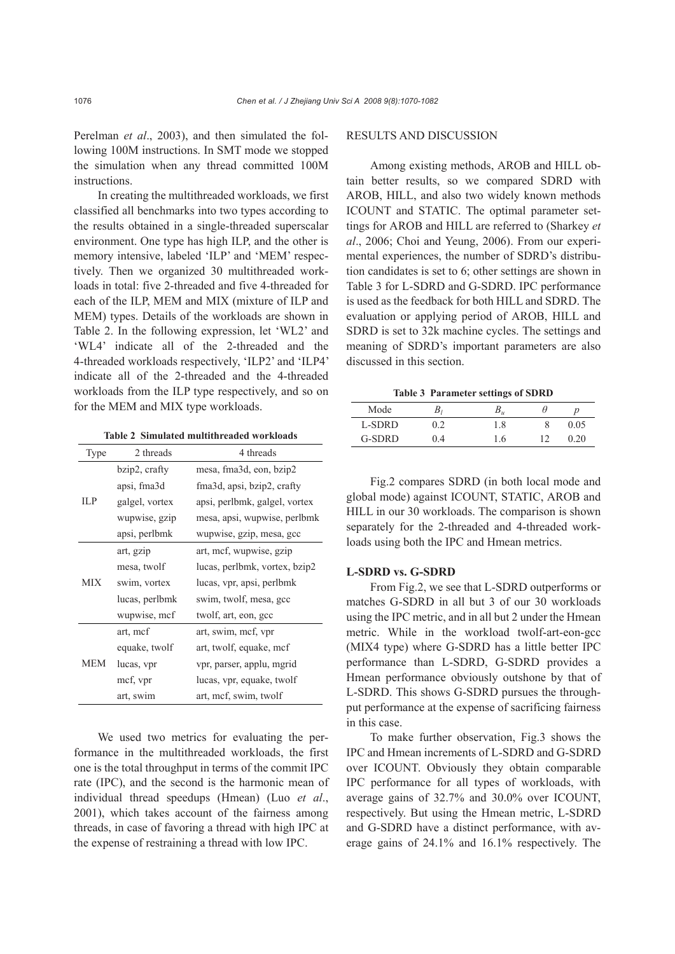Perelman *et al*., 2003), and then simulated the following 100M instructions. In SMT mode we stopped the simulation when any thread committed 100M instructions.

In creating the multithreaded workloads, we first classified all benchmarks into two types according to the results obtained in a single-threaded superscalar environment. One type has high ILP, and the other is memory intensive, labeled 'ILP' and 'MEM' respectively. Then we organized 30 multithreaded workloads in total: five 2-threaded and five 4-threaded for each of the ILP, MEM and MIX (mixture of ILP and MEM) types. Details of the workloads are shown in Table 2. In the following expression, let 'WL2' and 'WL4' indicate all of the 2-threaded and the 4-threaded workloads respectively, 'ILP2' and 'ILP4' indicate all of the 2-threaded and the 4-threaded workloads from the ILP type respectively, and so on for the MEM and MIX type workloads.

**Table 2 Simulated multithreaded workloads** 

| Type       | 2 threads      | 4 threads                     |  |  |
|------------|----------------|-------------------------------|--|--|
| IL P       | bzip2, crafty  | mesa, fma3d, eon, bzip2       |  |  |
|            | apsi, fma3d    | fma3d, apsi, bzip2, crafty    |  |  |
|            | galgel, vortex | apsi, perlbmk, galgel, vortex |  |  |
|            | wupwise, gzip  | mesa, apsi, wupwise, perlbmk  |  |  |
|            | apsi, perlbmk  | wupwise, gzip, mesa, gcc      |  |  |
| <b>MIX</b> | art, gzip      | art, mcf, wupwise, gzip       |  |  |
|            | mesa, twolf    | lucas, perlbmk, vortex, bzip2 |  |  |
|            | swim, vortex   | lucas, vpr, apsi, perlbmk     |  |  |
|            | lucas, perlbmk | swim, twolf, mesa, gcc        |  |  |
|            | wupwise, mcf   | twolf, art, eon, gcc          |  |  |
| <b>MEM</b> | art, mcf       | art, swim, mcf, vpr           |  |  |
|            | equake, twolf  | art, twolf, equake, mcf       |  |  |
|            | lucas, vpr     | vpr, parser, applu, mgrid     |  |  |
|            | mef, vpr       | lucas, vpr, equake, twolf     |  |  |
|            | art, swim      | art, mcf, swim, twolf         |  |  |

We used two metrics for evaluating the performance in the multithreaded workloads, the first one is the total throughput in terms of the commit IPC rate (IPC), and the second is the harmonic mean of individual thread speedups (Hmean) (Luo *et al*., 2001), which takes account of the fairness among threads, in case of favoring a thread with high IPC at the expense of restraining a thread with low IPC.

## RESULTS AND DISCUSSION

Among existing methods, AROB and HILL obtain better results, so we compared SDRD with AROB, HILL, and also two widely known methods ICOUNT and STATIC. The optimal parameter settings for AROB and HILL are referred to (Sharkey *et al*., 2006; Choi and Yeung, 2006). From our experimental experiences, the number of SDRD's distribution candidates is set to 6; other settings are shown in Table 3 for L-SDRD and G-SDRD. IPC performance is used as the feedback for both HILL and SDRD. The evaluation or applying period of AROB, HILL and SDRD is set to 32k machine cycles. The settings and meaning of SDRD's important parameters are also discussed in this section.

**Table 3 Parameter settings of SDRD** 

| Mode   | D   |     |      |
|--------|-----|-----|------|
| L-SDRD | 0.2 | 1.8 | 0.05 |
| G-SDRD | 7.4 | .6  | 0.20 |

Fig.2 compares SDRD (in both local mode and global mode) against ICOUNT, STATIC, AROB and HILL in our 30 workloads. The comparison is shown separately for the 2-threaded and 4-threaded workloads using both the IPC and Hmean metrics.

#### **L-SDRD vs. G-SDRD**

From Fig.2, we see that L-SDRD outperforms or matches G-SDRD in all but 3 of our 30 workloads using the IPC metric, and in all but 2 under the Hmean metric. While in the workload twolf-art-eon-gcc (MIX4 type) where G-SDRD has a little better IPC performance than L-SDRD, G-SDRD provides a Hmean performance obviously outshone by that of L-SDRD. This shows G-SDRD pursues the throughput performance at the expense of sacrificing fairness in this case.

To make further observation, Fig.3 shows the IPC and Hmean increments of L-SDRD and G-SDRD over ICOUNT. Obviously they obtain comparable IPC performance for all types of workloads, with average gains of 32.7% and 30.0% over ICOUNT, respectively. But using the Hmean metric, L-SDRD and G-SDRD have a distinct performance, with average gains of 24.1% and 16.1% respectively. The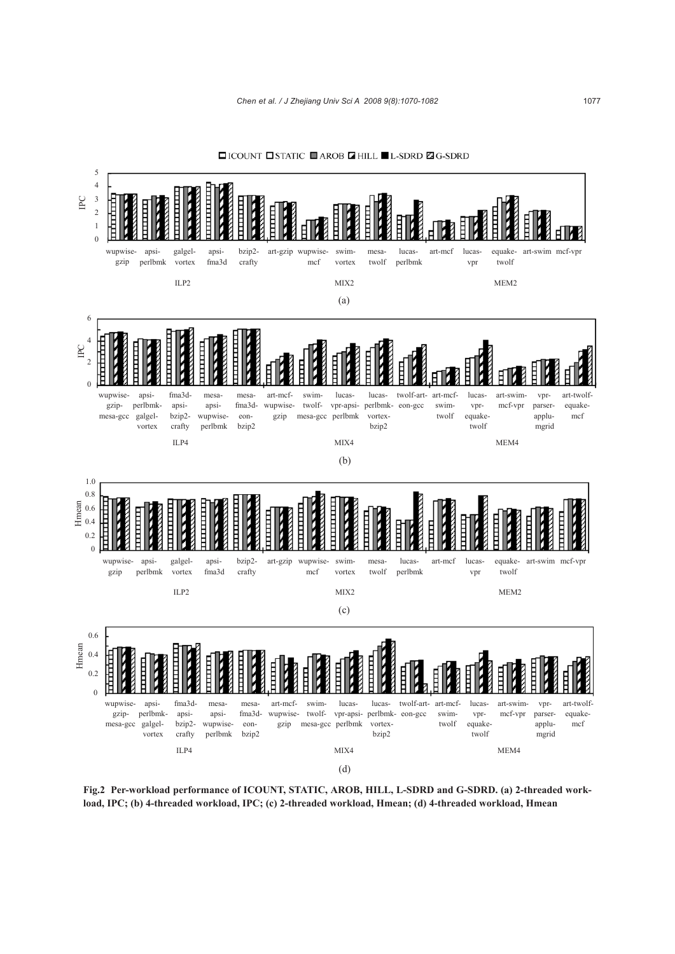

**load, IPC; (b) 4-threaded workload, IPC; (c) 2-threaded workload, Hmean; (d) 4-threaded workload, Hmean**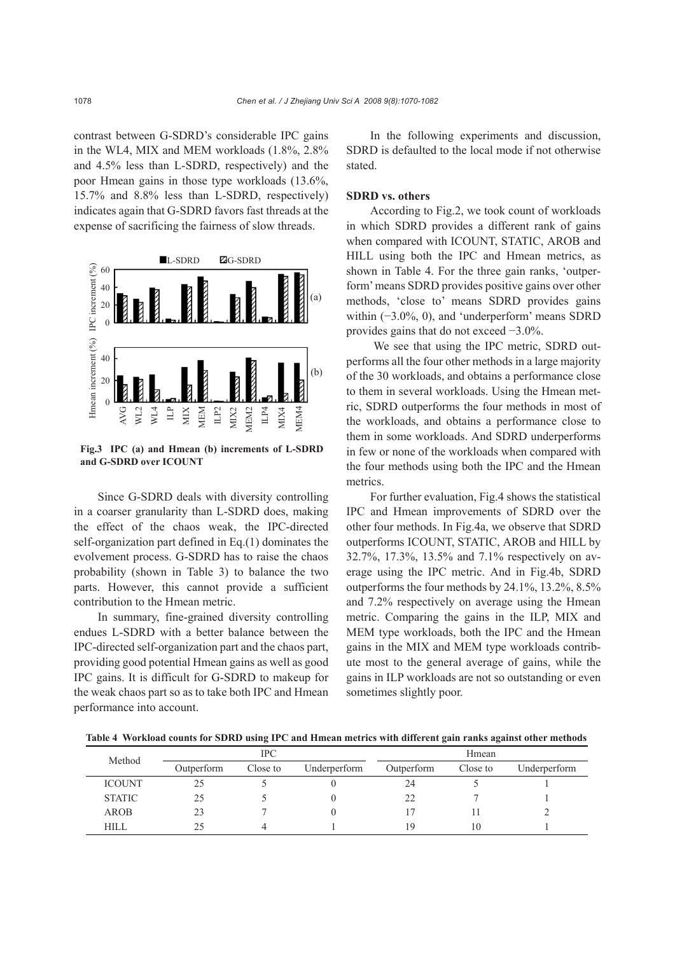contrast between G-SDRD's considerable IPC gains in the WL4, MIX and MEM workloads (1.8%, 2.8% and 4.5% less than L-SDRD, respectively) and the poor Hmean gains in those type workloads (13.6%, 15.7% and 8.8% less than L-SDRD, respectively) indicates again that G-SDRD favors fast threads at the expense of sacrificing the fairness of slow threads.



**Fig.3 IPC (a) and Hmean (b) increments of L-SDRD and G-SDRD over ICOUNT**

Since G-SDRD deals with diversity controlling in a coarser granularity than L-SDRD does, making the effect of the chaos weak, the IPC-directed self-organization part defined in Eq.(1) dominates the evolvement process. G-SDRD has to raise the chaos probability (shown in Table 3) to balance the two parts. However, this cannot provide a sufficient contribution to the Hmean metric.

In summary, fine-grained diversity controlling endues L-SDRD with a better balance between the IPC-directed self-organization part and the chaos part, providing good potential Hmean gains as well as good IPC gains. It is difficult for G-SDRD to makeup for the weak chaos part so as to take both IPC and Hmean performance into account.

In the following experiments and discussion, SDRD is defaulted to the local mode if not otherwise stated.

## **SDRD vs. others**

According to Fig.2, we took count of workloads in which SDRD provides a different rank of gains when compared with ICOUNT, STATIC, AROB and HILL using both the IPC and Hmean metrics, as shown in Table 4. For the three gain ranks, 'outperform' means SDRD provides positive gains over other methods, 'close to' means SDRD provides gains within (−3.0%, 0), and 'underperform' means SDRD provides gains that do not exceed −3.0%.

We see that using the IPC metric, SDRD outperforms all the four other methods in a large majority of the 30 workloads, and obtains a performance close to them in several workloads. Using the Hmean metric, SDRD outperforms the four methods in most of the workloads, and obtains a performance close to them in some workloads. And SDRD underperforms in few or none of the workloads when compared with the four methods using both the IPC and the Hmean metrics.

For further evaluation, Fig.4 shows the statistical IPC and Hmean improvements of SDRD over the other four methods. In Fig.4a, we observe that SDRD outperforms ICOUNT, STATIC, AROB and HILL by 32.7%, 17.3%, 13.5% and 7.1% respectively on average using the IPC metric. And in Fig.4b, SDRD outperforms the four methods by 24.1%, 13.2%, 8.5% and 7.2% respectively on average using the Hmean metric. Comparing the gains in the ILP, MIX and MEM type workloads, both the IPC and the Hmean gains in the MIX and MEM type workloads contribute most to the general average of gains, while the gains in ILP workloads are not so outstanding or even sometimes slightly poor.

**Table 4 Workload counts for SDRD using IPC and Hmean metrics with different gain ranks against other methods** 

| Method        | <b>IPC</b> |          |              | Hmean      |          |              |
|---------------|------------|----------|--------------|------------|----------|--------------|
|               | Outperform | Close to | Underperform | Outperform | Close to | Underperform |
| <b>ICOUNT</b> |            |          |              | 24         |          |              |
| <b>STATIC</b> | 25         |          |              | 22         |          |              |
| <b>AROB</b>   | 23         |          |              |            |          |              |
| <b>HILL</b>   |            |          |              | 19         | 10       |              |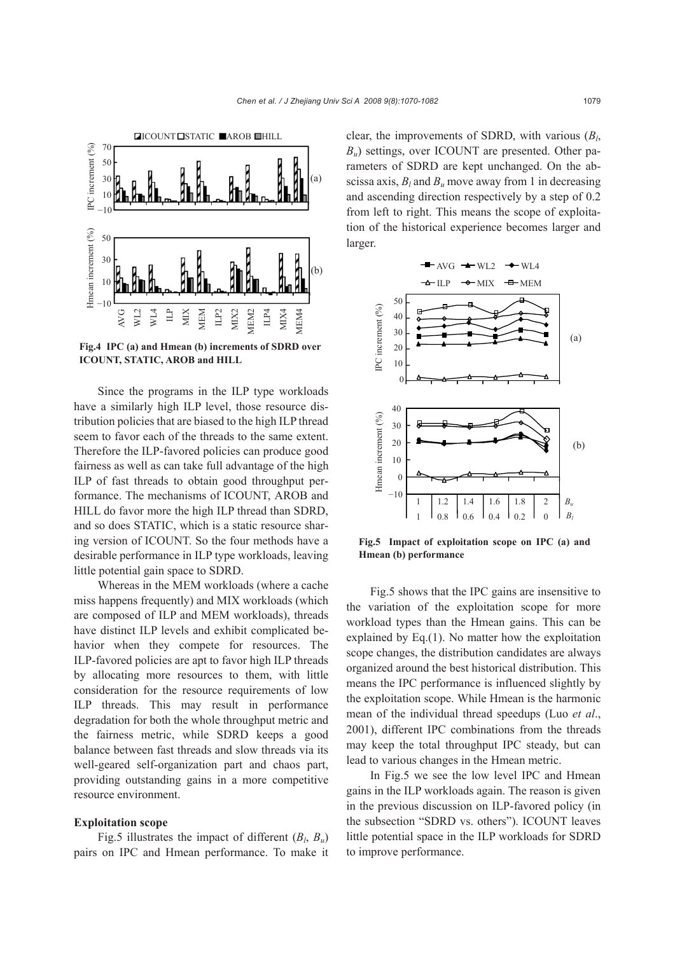

**Fig.4 IPC (a) and Hmean (b) increments of SDRD over ICOUNT, STATIC, AROB and HILL**

Since the programs in the ILP type workloads have a similarly high ILP level, those resource distribution policies that are biased to the high ILP thread seem to favor each of the threads to the same extent. Therefore the ILP-favored policies can produce good fairness as well as can take full advantage of the high ILP of fast threads to obtain good throughput performance. The mechanisms of ICOUNT, AROB and HILL do favor more the high ILP thread than SDRD, and so does STATIC, which is a static resource sharing version of ICOUNT. So the four methods have a desirable performance in ILP type workloads, leaving little potential gain space to SDRD.

Whereas in the MEM workloads (where a cache miss happens frequently) and MIX workloads (which are composed of ILP and MEM workloads), threads have distinct ILP levels and exhibit complicated behavior when they compete for resources. The ILP-favored policies are apt to favor high ILP threads by allocating more resources to them, with little consideration for the resource requirements of low ILP threads. This may result in performance degradation for both the whole throughput metric and the fairness metric, while SDRD keeps a good balance between fast threads and slow threads via its well-geared self-organization part and chaos part, providing outstanding gains in a more competitive resource environment.

## **Exploitation scope**

Fig.5 illustrates the impact of different  $(B_l, B_u)$ pairs on IPC and Hmean performance. To make it clear, the improvements of SDRD, with various (*Bl*, *Bu*) settings, over ICOUNT are presented. Other parameters of SDRD are kept unchanged. On the abscissa axis,  $B_l$  and  $B_u$  move away from 1 in decreasing and ascending direction respectively by a step of 0.2 from left to right. This means the scope of exploitation of the historical experience becomes larger and larger.



**Fig.5 Impact of exploitation scope on IPC (a) and Hmean (b) performance**

Fig.5 shows that the IPC gains are insensitive to the variation of the exploitation scope for more workload types than the Hmean gains. This can be explained by Eq.(1). No matter how the exploitation scope changes, the distribution candidates are always organized around the best historical distribution. This means the IPC performance is influenced slightly by the exploitation scope. While Hmean is the harmonic mean of the individual thread speedups (Luo *et al*., 2001), different IPC combinations from the threads may keep the total throughput IPC steady, but can lead to various changes in the Hmean metric.

In Fig.5 we see the low level IPC and Hmean gains in the ILP workloads again. The reason is given in the previous discussion on ILP-favored policy (in the subsection "SDRD vs. others"). ICOUNT leaves little potential space in the ILP workloads for SDRD to improve performance.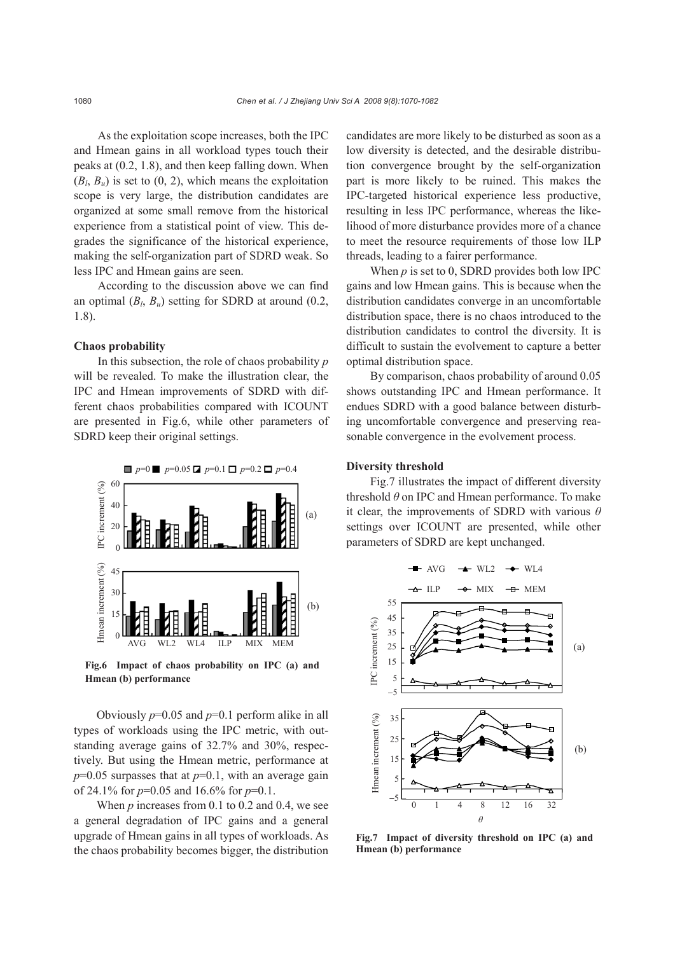As the exploitation scope increases, both the IPC and Hmean gains in all workload types touch their peaks at (0.2, 1.8), and then keep falling down. When  $(B_l, B_u)$  is set to  $(0, 2)$ , which means the exploitation scope is very large, the distribution candidates are organized at some small remove from the historical experience from a statistical point of view. This degrades the significance of the historical experience, making the self-organization part of SDRD weak. So less IPC and Hmean gains are seen.

According to the discussion above we can find an optimal  $(B_l, B_u)$  setting for SDRD at around  $(0.2,$ 1.8).

### **Chaos probability**

In this subsection, the role of chaos probability *p* will be revealed. To make the illustration clear, the IPC and Hmean improvements of SDRD with different chaos probabilities compared with ICOUNT are presented in Fig.6, while other parameters of SDRD keep their original settings.



**Fig.6 Impact of chaos probability on IPC (a) and Hmean (b) performance**

Obviously *p*=0.05 and *p*=0.1 perform alike in all types of workloads using the IPC metric, with outstanding average gains of 32.7% and 30%, respectively. But using the Hmean metric, performance at  $p=0.05$  surpasses that at  $p=0.1$ , with an average gain of 24.1% for *p*=0.05 and 16.6% for *p*=0.1.

When *p* increases from 0.1 to 0.2 and 0.4, we see a general degradation of IPC gains and a general upgrade of Hmean gains in all types of workloads. As the chaos probability becomes bigger, the distribution candidates are more likely to be disturbed as soon as a low diversity is detected, and the desirable distribution convergence brought by the self-organization part is more likely to be ruined. This makes the IPC-targeted historical experience less productive, resulting in less IPC performance, whereas the likelihood of more disturbance provides more of a chance to meet the resource requirements of those low ILP threads, leading to a fairer performance.

When  $p$  is set to 0, SDRD provides both low IPC gains and low Hmean gains. This is because when the distribution candidates converge in an uncomfortable distribution space, there is no chaos introduced to the distribution candidates to control the diversity. It is difficult to sustain the evolvement to capture a better optimal distribution space.

By comparison, chaos probability of around 0.05 shows outstanding IPC and Hmean performance. It endues SDRD with a good balance between disturbing uncomfortable convergence and preserving reasonable convergence in the evolvement process.

### **Diversity threshold**

Fig.7 illustrates the impact of different diversity threshold *θ* on IPC and Hmean performance. To make it clear, the improvements of SDRD with various *θ* settings over ICOUNT are presented, while other parameters of SDRD are kept unchanged.



**Fig.7 Impact of diversity threshold on IPC (a) and Hmean (b) performance**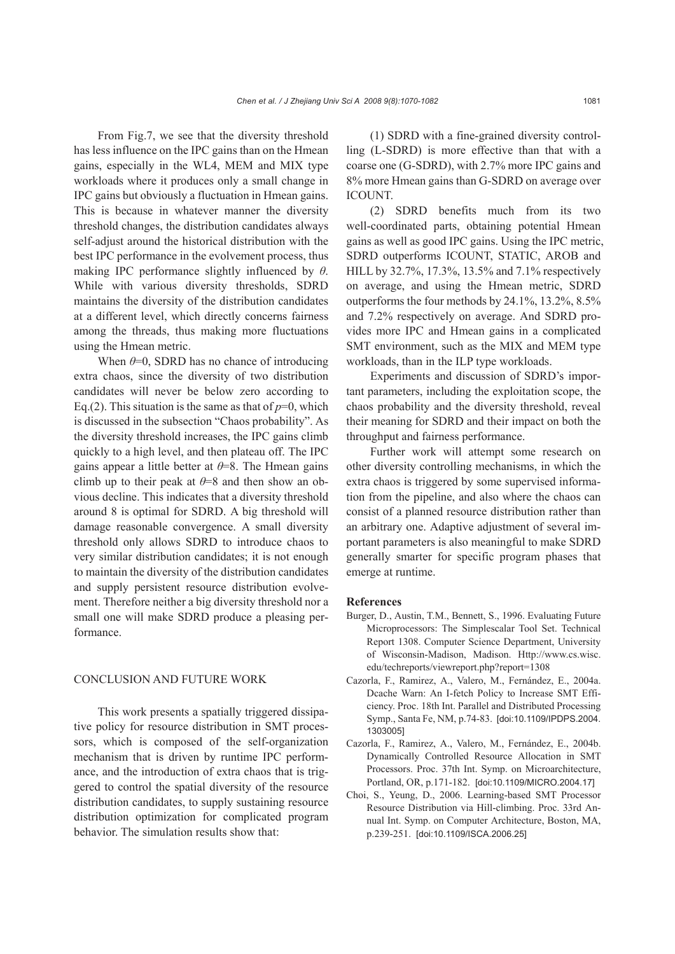From Fig.7, we see that the diversity threshold has less influence on the IPC gains than on the Hmean gains, especially in the WL4, MEM and MIX type workloads where it produces only a small change in IPC gains but obviously a fluctuation in Hmean gains. This is because in whatever manner the diversity threshold changes, the distribution candidates always self-adjust around the historical distribution with the best IPC performance in the evolvement process, thus making IPC performance slightly influenced by *θ*. While with various diversity thresholds, SDRD maintains the diversity of the distribution candidates at a different level, which directly concerns fairness among the threads, thus making more fluctuations using the Hmean metric.

When *θ*=0, SDRD has no chance of introducing extra chaos, since the diversity of two distribution candidates will never be below zero according to Eq.(2). This situation is the same as that of  $p=0$ , which is discussed in the subsection "Chaos probability". As the diversity threshold increases, the IPC gains climb quickly to a high level, and then plateau off. The IPC gains appear a little better at *θ*=8. The Hmean gains climb up to their peak at *θ*=8 and then show an obvious decline. This indicates that a diversity threshold around 8 is optimal for SDRD. A big threshold will damage reasonable convergence. A small diversity threshold only allows SDRD to introduce chaos to very similar distribution candidates; it is not enough to maintain the diversity of the distribution candidates and supply persistent resource distribution evolvement. Therefore neither a big diversity threshold nor a small one will make SDRD produce a pleasing performance.

## CONCLUSION AND FUTURE WORK

This work presents a spatially triggered dissipative policy for resource distribution in SMT processors, which is composed of the self-organization mechanism that is driven by runtime IPC performance, and the introduction of extra chaos that is triggered to control the spatial diversity of the resource distribution candidates, to supply sustaining resource distribution optimization for complicated program behavior. The simulation results show that:

(1) SDRD with a fine-grained diversity controlling (L-SDRD) is more effective than that with a coarse one (G-SDRD), with 2.7% more IPC gains and 8% more Hmean gains than G-SDRD on average over ICOUNT.

(2) SDRD benefits much from its two well-coordinated parts, obtaining potential Hmean gains as well as good IPC gains. Using the IPC metric, SDRD outperforms ICOUNT, STATIC, AROB and HILL by 32.7%, 17.3%, 13.5% and 7.1% respectively on average, and using the Hmean metric, SDRD outperforms the four methods by 24.1%, 13.2%, 8.5% and 7.2% respectively on average. And SDRD provides more IPC and Hmean gains in a complicated SMT environment, such as the MIX and MEM type workloads, than in the ILP type workloads.

Experiments and discussion of SDRD's important parameters, including the exploitation scope, the chaos probability and the diversity threshold, reveal their meaning for SDRD and their impact on both the throughput and fairness performance.

Further work will attempt some research on other diversity controlling mechanisms, in which the extra chaos is triggered by some supervised information from the pipeline, and also where the chaos can consist of a planned resource distribution rather than an arbitrary one. Adaptive adjustment of several important parameters is also meaningful to make SDRD generally smarter for specific program phases that emerge at runtime.

## **References**

- Burger, D., Austin, T.M., Bennett, S., 1996. Evaluating Future Microprocessors: The Simplescalar Tool Set. Technical Report 1308. Computer Science Department, University of Wisconsin-Madison, Madison. Http://www.cs.wisc. edu/techreports/viewreport.php?report=1308
- Cazorla, F., Ramirez, A., Valero, M., Fernández, E., 2004a. Dcache Warn: An I-fetch Policy to Increase SMT Efficiency. Proc. 18th Int. Parallel and Distributed Processing Symp., Santa Fe, NM, p.74-83. [doi:10.1109/IPDPS.2004. 1303005]
- Cazorla, F., Ramirez, A., Valero, M., Fernández, E., 2004b. Dynamically Controlled Resource Allocation in SMT Processors. Proc. 37th Int. Symp. on Microarchitecture, Portland, OR, p.171-182. [doi:10.1109/MICRO.2004.17]
- Choi, S., Yeung, D., 2006. Learning-based SMT Processor Resource Distribution via Hill-climbing. Proc. 33rd Annual Int. Symp. on Computer Architecture, Boston, MA, p.239-251. [doi:10.1109/ISCA.2006.25]